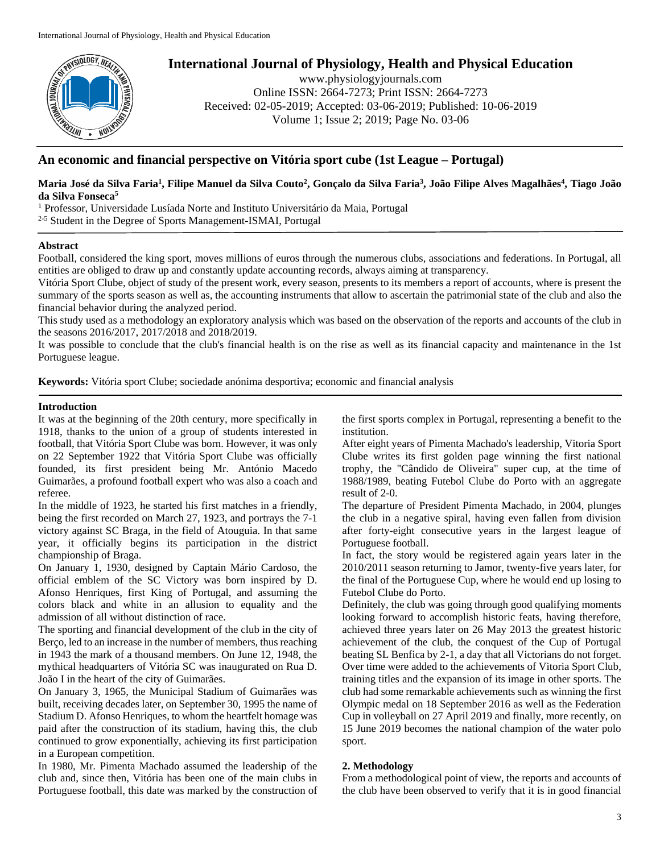

# **International Journal of Physiology, Health and Physical Education**

www.physiologyjournals.com Online ISSN: 2664-7273; Print ISSN: 2664-7273 Received: 02-05-2019; Accepted: 03-06-2019; Published: 10-06-2019 Volume 1; Issue 2; 2019; Page No. 03-06

## **An economic and financial perspective on Vitória sport cube (1st League – Portugal)**

## **Maria José da Silva Faria<sup>1</sup> , Filipe Manuel da Silva Couto<sup>2</sup> , Gonçalo da Silva Faria<sup>3</sup> , João Filipe Alves Magalhães<sup>4</sup> , Tiago João da Silva Fonseca<sup>5</sup>**

<sup>1</sup> Professor, Universidade Lusíada Norte and Instituto Universitário da Maia, Portugal

<sup>2-5</sup> Student in the Degree of Sports Management-ISMAI, Portugal

#### **Abstract**

Football, considered the king sport, moves millions of euros through the numerous clubs, associations and federations. In Portugal, all entities are obliged to draw up and constantly update accounting records, always aiming at transparency.

Vitória Sport Clube, object of study of the present work, every season, presents to its members a report of accounts, where is present the summary of the sports season as well as, the accounting instruments that allow to ascertain the patrimonial state of the club and also the financial behavior during the analyzed period.

This study used as a methodology an exploratory analysis which was based on the observation of the reports and accounts of the club in the seasons 2016/2017, 2017/2018 and 2018/2019.

It was possible to conclude that the club's financial health is on the rise as well as its financial capacity and maintenance in the 1st Portuguese league.

**Keywords:** Vitória sport Clube; sociedade anónima desportiva; economic and financial analysis

#### **Introduction**

It was at the beginning of the 20th century, more specifically in 1918, thanks to the union of a group of students interested in football, that Vitória Sport Clube was born. However, it was only on 22 September 1922 that Vitória Sport Clube was officially founded, its first president being Mr. António Macedo Guimarães, a profound football expert who was also a coach and referee.

In the middle of 1923, he started his first matches in a friendly, being the first recorded on March 27, 1923, and portrays the 7-1 victory against SC Braga, in the field of Atouguia. In that same year, it officially begins its participation in the district championship of Braga.

On January 1, 1930, designed by Captain Mário Cardoso, the official emblem of the SC Victory was born inspired by D. Afonso Henriques, first King of Portugal, and assuming the colors black and white in an allusion to equality and the admission of all without distinction of race.

The sporting and financial development of the club in the city of Berço, led to an increase in the number of members, thus reaching in 1943 the mark of a thousand members. On June 12, 1948, the mythical headquarters of Vitória SC was inaugurated on Rua D. João I in the heart of the city of Guimarães.

On January 3, 1965, the Municipal Stadium of Guimarães was built, receiving decades later, on September 30, 1995 the name of Stadium D. Afonso Henriques, to whom the heartfelt homage was paid after the construction of its stadium, having this, the club continued to grow exponentially, achieving its first participation in a European competition.

In 1980, Mr. Pimenta Machado assumed the leadership of the club and, since then, Vitória has been one of the main clubs in Portuguese football, this date was marked by the construction of the first sports complex in Portugal, representing a benefit to the institution.

After eight years of Pimenta Machado's leadership, Vitoria Sport Clube writes its first golden page winning the first national trophy, the "Cândido de Oliveira" super cup, at the time of 1988/1989, beating Futebol Clube do Porto with an aggregate result of 2-0.

The departure of President Pimenta Machado, in 2004, plunges the club in a negative spiral, having even fallen from division after forty-eight consecutive years in the largest league of Portuguese football.

In fact, the story would be registered again years later in the 2010/2011 season returning to Jamor, twenty-five years later, for the final of the Portuguese Cup, where he would end up losing to Futebol Clube do Porto.

Definitely, the club was going through good qualifying moments looking forward to accomplish historic feats, having therefore, achieved three years later on 26 May 2013 the greatest historic achievement of the club, the conquest of the Cup of Portugal beating SL Benfica by 2-1, a day that all Victorians do not forget. Over time were added to the achievements of Vitoria Sport Club, training titles and the expansion of its image in other sports. The club had some remarkable achievements such as winning the first Olympic medal on 18 September 2016 as well as the Federation Cup in volleyball on 27 April 2019 and finally, more recently, on 15 June 2019 becomes the national champion of the water polo sport.

## **2. Methodology**

From a methodological point of view, the reports and accounts of the club have been observed to verify that it is in good financial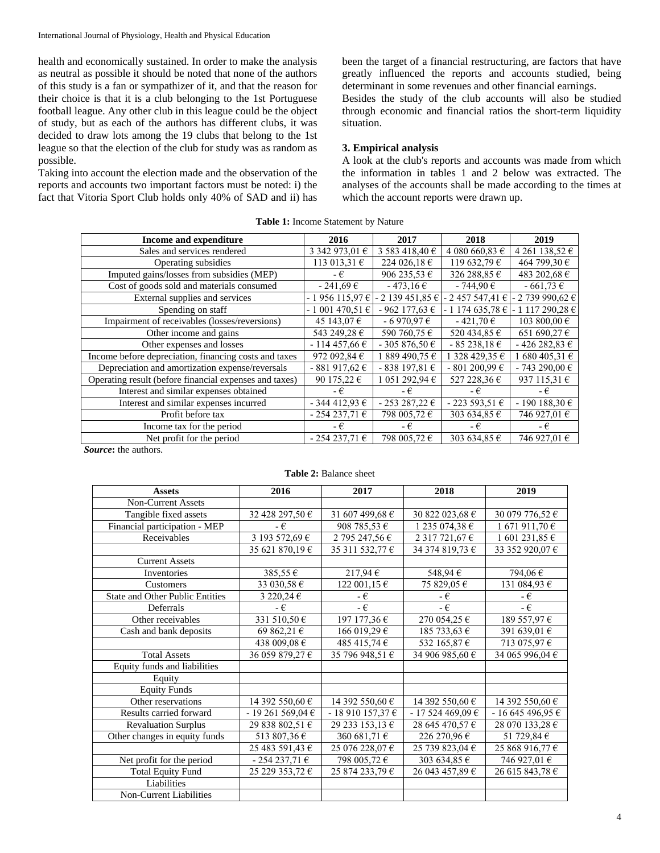health and economically sustained. In order to make the analysis as neutral as possible it should be noted that none of the authors of this study is a fan or sympathizer of it, and that the reason for their choice is that it is a club belonging to the 1st Portuguese football league. Any other club in this league could be the object of study, but as each of the authors has different clubs, it was decided to draw lots among the 19 clubs that belong to the 1st league so that the election of the club for study was as random as possible.

Taking into account the election made and the observation of the reports and accounts two important factors must be noted: i) the fact that Vitoria Sport Club holds only 40% of SAD and ii) has

been the target of a financial restructuring, are factors that have greatly influenced the reports and accounts studied, being determinant in some revenues and other financial earnings. Besides the study of the club accounts will also be studied through economic and financial ratios the short-term liquidity situation.

## **3. Empirical analysis**

A look at the club's reports and accounts was made from which the information in tables 1 and 2 below was extracted. The analyses of the accounts shall be made according to the times at which the account reports were drawn up.

| Income and expenditure                                 | 2016              | 2017            | 2018              | 2019             |
|--------------------------------------------------------|-------------------|-----------------|-------------------|------------------|
| Sales and services rendered                            | 3 342 973,01 €    | 3 583 418,40 €  | 4 080 660,83 €    | 4 261 138,52 €   |
| Operating subsidies                                    | 113 013,31 €      | 224 026,18 €    | 119 632,79 €      | 464 799,30 €     |
| Imputed gains/losses from subsidies (MEP)              | - €               | 906 235,53 €    | 326 288,85 €      | 483 202,68 €     |
| Cost of goods sold and materials consumed              | $-241,69 \in$     | $-473.16 \in$   | $-744,90€$        | $-661,73€$       |
| External supplies and services                         | - 1956 115,97€    | $-2139451,85€$  | 2 457 547,41 €    | - 2 739 990,62 € |
| Spending on staff                                      | $-1001470,51 \in$ | $-962$ 177,63 € | $-1174635,78 \in$ | 1 117 290,28 €   |
| Impairment of receivables (losses/reversions)          | 45 143,07 €       | $-6970,976$     | $-421,70€$        | 103 800,00 €     |
| Other income and gains                                 | 543 249,28 €      | 590 760,75 €    | 520 434,85 €      | 651 690,27 €     |
| Other expenses and losses                              | $-114457,66€$     | - 305 876.50 €  | $-85238,18€$      | $-426282,83€$    |
| Income before depreciation, financing costs and taxes  | 972 092,84 €      | 1 889 490.75 €  | 1 328 429,35 €    | $1680405,31 \in$ |
| Depreciation and amortization expense/reversals        | $-881917,62€$     | $-838197,81€$   | $-801200,99€$     | $-743290,00€$    |
| Operating result (before financial expenses and taxes) | 90 175,22 €       | 1 051 292,94 €  | 527 228,36 €      | 937 115,31 €     |
| Interest and similar expenses obtained                 | - €               | - €             | - €               | - €              |
| Interest and similar expenses incurred                 | $-344412,93€$     | $-253287,22€$   | $-223593,51€$     | $-190188,30€$    |
| Profit before tax                                      | $-254237,71€$     | 798 005,72€     | 303 634,85 €      | 746 927,01 €     |
| Income tax for the period                              | - €               | - €             | - €               | - €              |
| Net profit for the period                              | $-254237,71€$     | 798 005,72 €    | 303 634,85 €      | 746 927,01 €     |

**Table 1:** Income Statement by Nature

*Source***:** the authors.

| <b>Table 2: Balance sheet</b> |  |
|-------------------------------|--|
|                               |  |
|                               |  |
|                               |  |
|                               |  |
|                               |  |

| <b>Assets</b>                          | 2016                  | 2017              | 2018               | 2019            |
|----------------------------------------|-----------------------|-------------------|--------------------|-----------------|
| <b>Non-Current Assets</b>              |                       |                   |                    |                 |
| Tangible fixed assets                  | 32 428 297,50 €       | 31 607 499,68 €   | 30 822 023,68 €    | 30 079 776,52 € |
| Financial participation - MEP          | - €                   | 908 785,53 €      | 1 235 074,38 €     | 1 671 911,70 €  |
| Receivables                            | 3 193 572,69 €        | 2 795 247,56 €    | 2 3 1 7 7 2 1,67 € | 1 601 231,85 €  |
|                                        | 35 621 870,19 €       | 35 311 532,77 €   | 34 374 819,73 €    | 33 352 920,07 € |
| <b>Current Assets</b>                  |                       |                   |                    |                 |
| Inventories                            | 385,55€               | $217,94 \in$      | 548,94 €           | 794,06€         |
| Customers                              | 33 030,58 €           | 122 001,15 €      | 75 829,05 €        | 131 084,93 €    |
| <b>State and Other Public Entities</b> | 3 220,24 $\epsilon$   | -€                | - €                | - €             |
| Deferrals                              | - €                   | $-\epsilon$       | $-\epsilon$        | $-\epsilon$     |
| Other receivables                      | 331 510,50 $\epsilon$ | 197 177,36 €      | 270 054,25€        | 189 557,97 €    |
| Cash and bank deposits                 | 69 862,21 €           | 166 019,29 €      | 185 733,63 €       | 391 639,01 €    |
|                                        | 438 009,08 €          | 485 415,74 €      | 532 165,87 €       | 713 075,97 €    |
| <b>Total Assets</b>                    | 36 059 879,27 €       | 35 796 948,51 €   | 34 906 985,60 €    | 34 065 996,04 € |
| Equity funds and liabilities           |                       |                   |                    |                 |
| Equity                                 |                       |                   |                    |                 |
| <b>Equity Funds</b>                    |                       |                   |                    |                 |
| Other reservations                     | 14 392 550,60 €       | 14 392 550,60 €   | 14 392 550,60 €    | 14 392 550,60 € |
| Results carried forward                | $-19261569,04€$       | - 18 910 157,37 € | $-17524469,09€$    | $-1664549695$ € |
| <b>Revaluation Surplus</b>             | 29 838 802,51 €       | 29 233 153,13 €   | 28 645 470,57 €    | 28 070 133,28 € |
| Other changes in equity funds          | 513 807,36 €          | 360 681,71 €      | 226 270,96 €       | 51 729,84 €     |
|                                        | 25 483 591,43 €       | 25 076 228,07 €   | 25 739 823,04 €    | 25 868 916,77 € |
| Net profit for the period              | $-254237,71€$         | 798 005,72 €      | 303 634,85 €       | 746 927,01 €    |
| <b>Total Equity Fund</b>               | 25 229 353,72 €       | 25 874 233,79 €   | 26 043 457,89 €    | 26 615 843,78 € |
| Liabilities                            |                       |                   |                    |                 |
| Non-Current Liabilities                |                       |                   |                    |                 |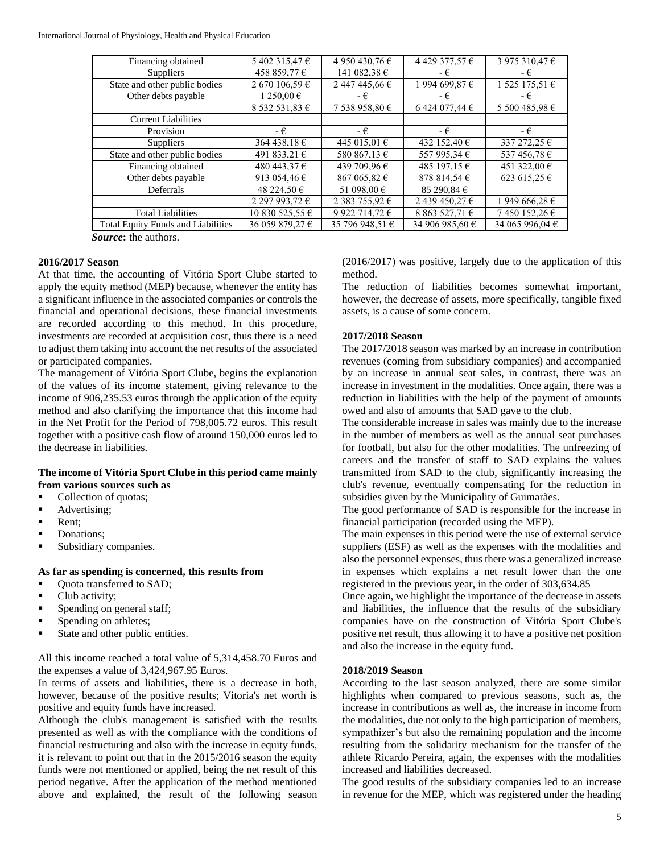| Financing obtained                        | 5402 315,47€     | 4 950 430,76 €  | 4 429 377,57 €                 | 3 975 310,47 €  |
|-------------------------------------------|------------------|-----------------|--------------------------------|-----------------|
| <b>Suppliers</b>                          | 458 859,77 €     | 141 082,38 €    | - €                            | - €             |
| State and other public bodies             | 2 670 106,59 €   | 2 447 445,66 €  | 1 994 699,87 €                 | 1 525 175,51 €  |
| Other debts payable                       | 1 250,00 €       | - €             | - €                            | - €             |
|                                           | 8 532 531,83 €   | 7 538 958,80 €  | 6 424 077,44 €                 | 5 500 485,98 €  |
| <b>Current Liabilities</b>                |                  |                 |                                |                 |
| Provision                                 | - €              | - €             | - €                            | - €             |
| <b>Suppliers</b>                          | 364 438.18 €     | 445 015.01 €    | 432 152,40 €                   | 337 272,25 €    |
| State and other public bodies             | 491 833,21 €     | 580 867,13 €    | 557 995,34 €                   | 537 456,78 €    |
| Financing obtained                        | 480 443,37 €     | 439 709,96 €    | 485 197.15 €                   | 451 322,00 €    |
| Other debts payable                       | 913 054,46 $\in$ | 867 065,82 €    | 878 814.54 €                   | 623 615,25 €    |
| Deferrals                                 | 48 224,50 €      | 51 098,00 €     | 85 290.84 $\in$                |                 |
|                                           | 2 297 993,72 €   | 2 383 755,92 €  | 2 439 450,27 €                 | 1 949 666,28 €  |
| <b>Total Liabilities</b>                  | 10 830 525,55 €  | 9 922 714,72 €  | 8 8 6 3 5 2 7 , 7 1 $\epsilon$ | 7450152,26€     |
| <b>Total Equity Funds and Liabilities</b> | 36 059 879,27 €  | 35 796 948,51 € | 34 906 985,60 €                | 34 065 996,04 € |
|                                           |                  |                 |                                |                 |

*Source***:** the authors.

#### **2016/2017 Season**

At that time, the accounting of Vitória Sport Clube started to apply the equity method (MEP) because, whenever the entity has a significant influence in the associated companies or controls the financial and operational decisions, these financial investments are recorded according to this method. In this procedure, investments are recorded at acquisition cost, thus there is a need to adjust them taking into account the net results of the associated or participated companies.

The management of Vitória Sport Clube, begins the explanation of the values of its income statement, giving relevance to the income of 906,235.53 euros through the application of the equity method and also clarifying the importance that this income had in the Net Profit for the Period of 798,005.72 euros. This result together with a positive cash flow of around 150,000 euros led to the decrease in liabilities.

#### **The income of Vitória Sport Clube in this period came mainly from various sources such as**

- Collection of quotas;
- Advertising;
- Rent;
- Donations;
- Subsidiary companies.

#### **As far as spending is concerned, this results from**

- Quota transferred to SAD;
- Club activity;
- Spending on general staff;
- Spending on athletes;
- **State and other public entities.**

All this income reached a total value of 5,314,458.70 Euros and the expenses a value of 3,424,967.95 Euros.

In terms of assets and liabilities, there is a decrease in both, however, because of the positive results; Vitoria's net worth is positive and equity funds have increased.

Although the club's management is satisfied with the results presented as well as with the compliance with the conditions of financial restructuring and also with the increase in equity funds, it is relevant to point out that in the 2015/2016 season the equity funds were not mentioned or applied, being the net result of this period negative. After the application of the method mentioned above and explained, the result of the following season (2016/2017) was positive, largely due to the application of this method.

The reduction of liabilities becomes somewhat important, however, the decrease of assets, more specifically, tangible fixed assets, is a cause of some concern.

## **2017/2018 Season**

The 2017/2018 season was marked by an increase in contribution revenues (coming from subsidiary companies) and accompanied by an increase in annual seat sales, in contrast, there was an increase in investment in the modalities. Once again, there was a reduction in liabilities with the help of the payment of amounts owed and also of amounts that SAD gave to the club.

The considerable increase in sales was mainly due to the increase in the number of members as well as the annual seat purchases for football, but also for the other modalities. The unfreezing of careers and the transfer of staff to SAD explains the values transmitted from SAD to the club, significantly increasing the club's revenue, eventually compensating for the reduction in subsidies given by the Municipality of Guimarães.

The good performance of SAD is responsible for the increase in financial participation (recorded using the MEP).

The main expenses in this period were the use of external service suppliers (ESF) as well as the expenses with the modalities and also the personnel expenses, thus there was a generalized increase in expenses which explains a net result lower than the one registered in the previous year, in the order of 303,634.85

Once again, we highlight the importance of the decrease in assets and liabilities, the influence that the results of the subsidiary companies have on the construction of Vitória Sport Clube's positive net result, thus allowing it to have a positive net position and also the increase in the equity fund.

#### **2018/2019 Season**

According to the last season analyzed, there are some similar highlights when compared to previous seasons, such as, the increase in contributions as well as, the increase in income from the modalities, due not only to the high participation of members, sympathizer's but also the remaining population and the income resulting from the solidarity mechanism for the transfer of the athlete Ricardo Pereira, again, the expenses with the modalities increased and liabilities decreased.

The good results of the subsidiary companies led to an increase in revenue for the MEP, which was registered under the heading